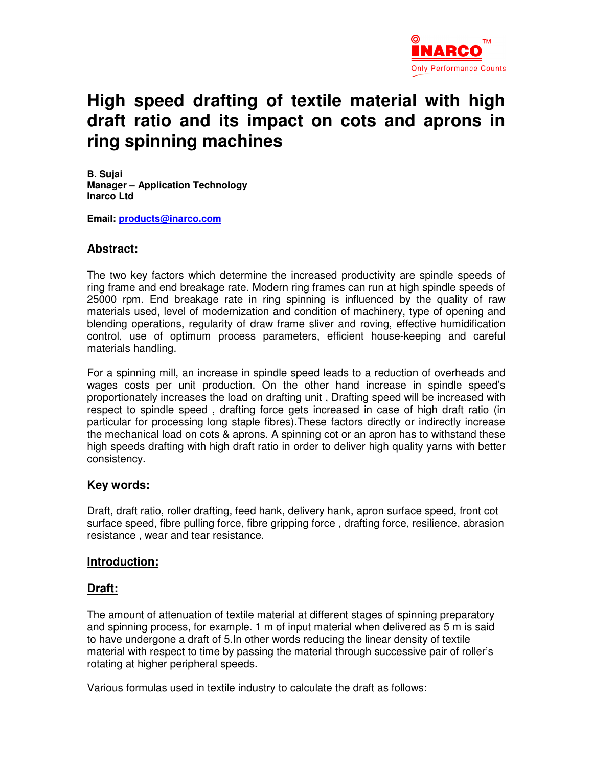

# **High speed drafting of textile material with high draft ratio and its impact on cots and aprons in ring spinning machines**

**B. Sujai Manager – Application Technology Inarco Ltd** 

**Email: products@inarco.com**

#### **Abstract:**

The two key factors which determine the increased productivity are spindle speeds of ring frame and end breakage rate. Modern ring frames can run at high spindle speeds of 25000 rpm. End breakage rate in ring spinning is influenced by the quality of raw materials used, level of modernization and condition of machinery, type of opening and blending operations, regularity of draw frame sliver and roving, effective humidification control, use of optimum process parameters, efficient house-keeping and careful materials handling.

For a spinning mill, an increase in spindle speed leads to a reduction of overheads and wages costs per unit production. On the other hand increase in spindle speed's proportionately increases the load on drafting unit , Drafting speed will be increased with respect to spindle speed , drafting force gets increased in case of high draft ratio (in particular for processing long staple fibres).These factors directly or indirectly increase the mechanical load on cots & aprons. A spinning cot or an apron has to withstand these high speeds drafting with high draft ratio in order to deliver high quality yarns with better consistency.

#### **Key words:**

Draft, draft ratio, roller drafting, feed hank, delivery hank, apron surface speed, front cot surface speed, fibre pulling force, fibre gripping force , drafting force, resilience, abrasion resistance , wear and tear resistance.

#### **Introduction:**

#### **Draft:**

The amount of attenuation of textile material at different stages of spinning preparatory and spinning process, for example. 1 m of input material when delivered as 5 m is said to have undergone a draft of 5.In other words reducing the linear density of textile material with respect to time by passing the material through successive pair of roller's rotating at higher peripheral speeds.

Various formulas used in textile industry to calculate the draft as follows: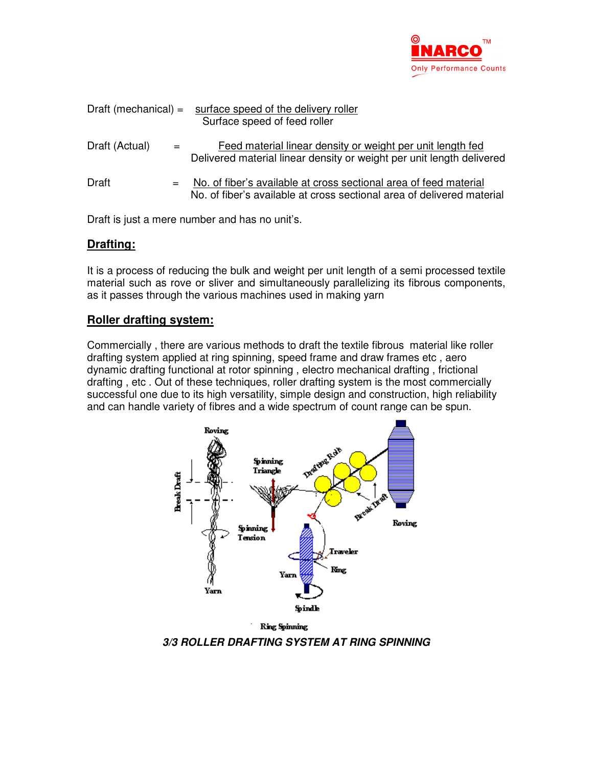

| Draft (mechanical) $=$ |     | surface speed of the delivery roller<br>Surface speed of feed roller                                                                        |  |  |
|------------------------|-----|---------------------------------------------------------------------------------------------------------------------------------------------|--|--|
| Draft (Actual)         |     | Feed material linear density or weight per unit length fed<br>Delivered material linear density or weight per unit length delivered         |  |  |
| Draft                  | $=$ | No. of fiber's available at cross sectional area of feed material<br>No. of fiber's available at cross sectional area of delivered material |  |  |

Draft is just a mere number and has no unit's.

## **Drafting:**

It is a process of reducing the bulk and weight per unit length of a semi processed textile material such as rove or sliver and simultaneously parallelizing its fibrous components, as it passes through the various machines used in making yarn

## **Roller drafting system:**

Commercially , there are various methods to draft the textile fibrous material like roller drafting system applied at ring spinning, speed frame and draw frames etc , aero dynamic drafting functional at rotor spinning , electro mechanical drafting , frictional drafting , etc . Out of these techniques, roller drafting system is the most commercially successful one due to its high versatility, simple design and construction, high reliability and can handle variety of fibres and a wide spectrum of count range can be spun.



**3/3 ROLLER DRAFTING SYSTEM AT RING SPINNING**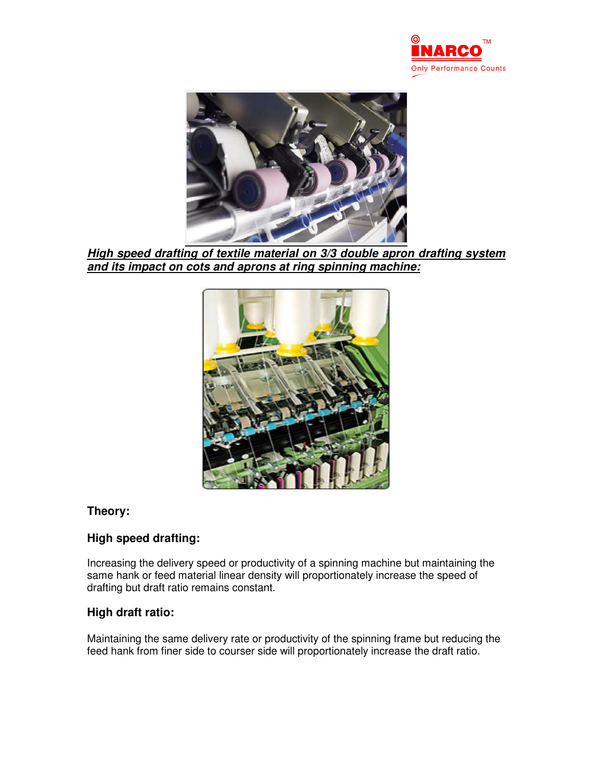



**High speed drafting of textile material on 3/3 double apron drafting system and its impact on cots and aprons at ring spinning machine:**



#### **Theory:**

# **High speed drafting:**

Increasing the delivery speed or productivity of a spinning machine but maintaining the same hank or feed material linear density will proportionately increase the speed of drafting but draft ratio remains constant.

## **High draft ratio:**

Maintaining the same delivery rate or productivity of the spinning frame but reducing the feed hank from finer side to courser side will proportionately increase the draft ratio.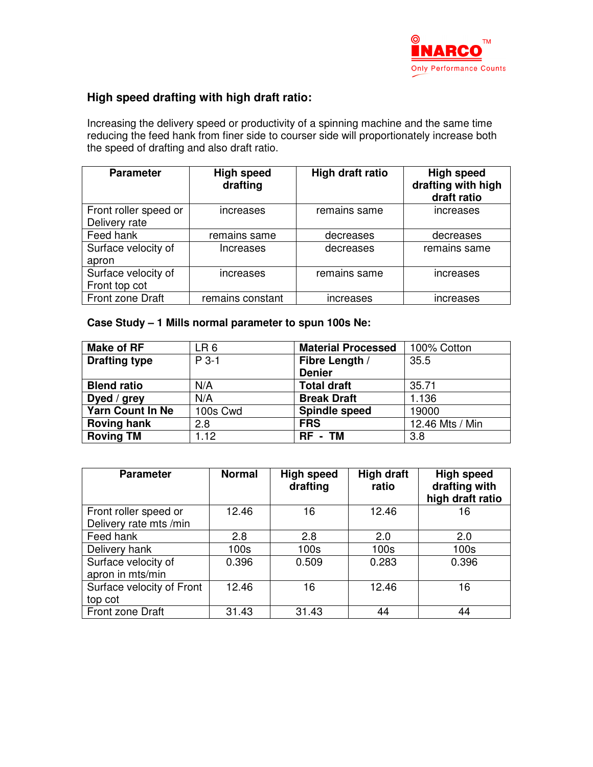

## **High speed drafting with high draft ratio:**

Increasing the delivery speed or productivity of a spinning machine and the same time reducing the feed hank from finer side to courser side will proportionately increase both the speed of drafting and also draft ratio.

| <b>Parameter</b>      | <b>High speed</b><br>drafting | High draft ratio | <b>High speed</b><br>drafting with high<br>draft ratio |
|-----------------------|-------------------------------|------------------|--------------------------------------------------------|
| Front roller speed or | increases                     | remains same     | increases                                              |
| Delivery rate         |                               |                  |                                                        |
| Feed hank             | remains same                  | decreases        | decreases                                              |
| Surface velocity of   | Increases                     | decreases        | remains same                                           |
| apron                 |                               |                  |                                                        |
| Surface velocity of   | <b>Increases</b>              | remains same     | increases                                              |
| Front top cot         |                               |                  |                                                        |
| Front zone Draft      | remains constant              | increases        | increases                                              |

## **Case Study – 1 Mills normal parameter to spun 100s Ne:**

| <b>Make of RF</b>    | LR <sub>6</sub> | <b>Material Processed</b> | 100% Cotton     |
|----------------------|-----------------|---------------------------|-----------------|
| <b>Drafting type</b> | $P_3-1$         | Fibre Length /            | 35.5            |
|                      |                 | <b>Denier</b>             |                 |
| <b>Blend ratio</b>   | N/A             | <b>Total draft</b>        | 35.71           |
| Dyed / grey          | N/A             | <b>Break Draft</b>        | 1.136           |
| Yarn Count In Ne     | 100s Cwd        | <b>Spindle speed</b>      | 19000           |
| <b>Roving hank</b>   | 2.8             | <b>FRS</b>                | 12.46 Mts / Min |
| <b>Roving TM</b>     | 1.12            | RF - TM                   | 3.8             |

| <b>Parameter</b>                                | <b>Normal</b> | <b>High speed</b><br>drafting | <b>High draft</b><br>ratio | <b>High speed</b><br>drafting with<br>high draft ratio |
|-------------------------------------------------|---------------|-------------------------------|----------------------------|--------------------------------------------------------|
| Front roller speed or<br>Delivery rate mts /min | 12.46         | 16                            | 12.46                      | 16                                                     |
| Feed hank                                       | 2.8           | 2.8                           | 2.0                        | 2.0                                                    |
| Delivery hank                                   | 100s          | 100 <sub>s</sub>              | 100s                       | 100s                                                   |
| Surface velocity of<br>apron in mts/min         | 0.396         | 0.509                         | 0.283                      | 0.396                                                  |
| Surface velocity of Front<br>top cot            | 12.46         | 16                            | 12.46                      | 16                                                     |
| Front zone Draft                                | 31.43         | 31.43                         | 44                         | 44                                                     |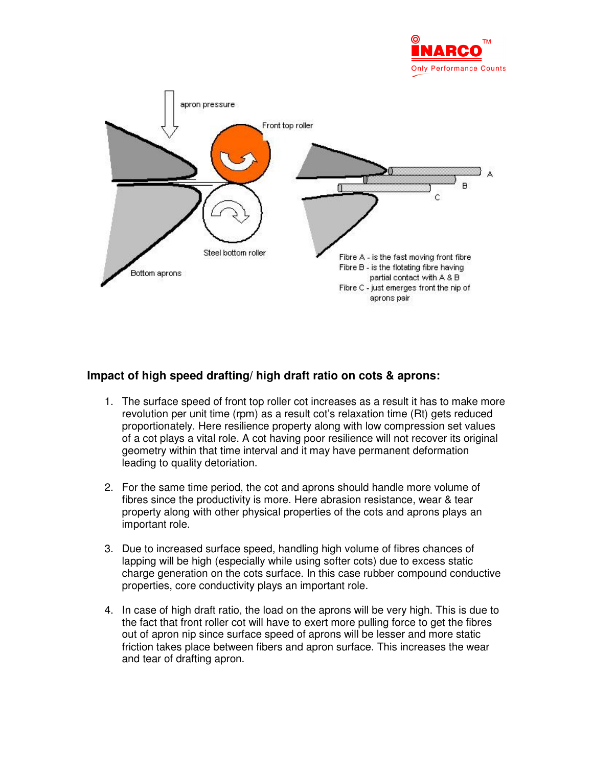



## **Impact of high speed drafting/ high draft ratio on cots & aprons:**

- 1. The surface speed of front top roller cot increases as a result it has to make more revolution per unit time (rpm) as a result cot's relaxation time (Rt) gets reduced proportionately. Here resilience property along with low compression set values of a cot plays a vital role. A cot having poor resilience will not recover its original geometry within that time interval and it may have permanent deformation leading to quality detoriation.
- 2. For the same time period, the cot and aprons should handle more volume of fibres since the productivity is more. Here abrasion resistance, wear & tear property along with other physical properties of the cots and aprons plays an important role.
- 3. Due to increased surface speed, handling high volume of fibres chances of lapping will be high (especially while using softer cots) due to excess static charge generation on the cots surface. In this case rubber compound conductive properties, core conductivity plays an important role.
- 4. In case of high draft ratio, the load on the aprons will be very high. This is due to the fact that front roller cot will have to exert more pulling force to get the fibres out of apron nip since surface speed of aprons will be lesser and more static friction takes place between fibers and apron surface. This increases the wear and tear of drafting apron.